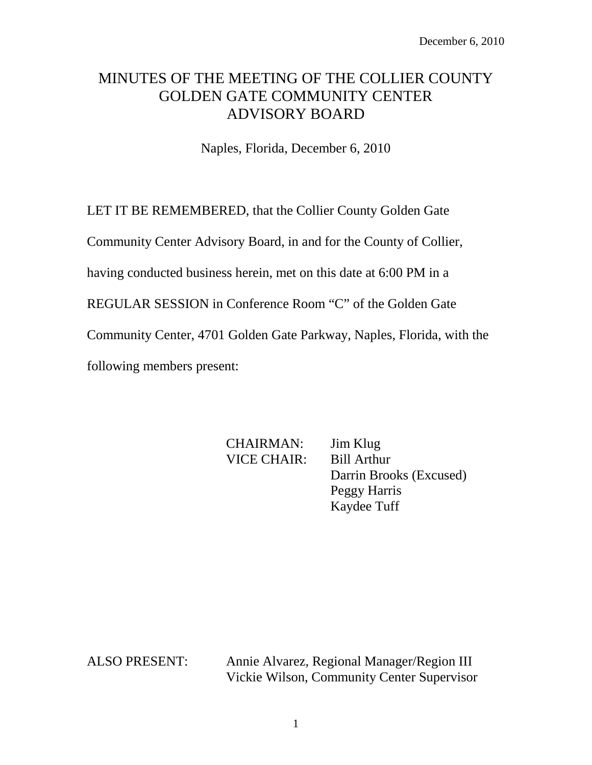# MINUTES OF THE MEETING OF THE COLLIER COUNTY GOLDEN GATE COMMUNITY CENTER ADVISORY BOARD

Naples, Florida, December 6, 2010

LET IT BE REMEMBERED, that the Collier County Golden Gate

Community Center Advisory Board, in and for the County of Collier,

having conducted business herein, met on this date at 6:00 PM in a

REGULAR SESSION in Conference Room "C" of the Golden Gate

Community Center, 4701 Golden Gate Parkway, Naples, Florida, with the

following members present:

CHAIRMAN: Jim Klug VICE CHAIR: Bill Arthur Darrin Brooks (Excused) Peggy Harris Kaydee Tuff

ALSO PRESENT: Annie Alvarez, Regional Manager/Region III Vickie Wilson, Community Center Supervisor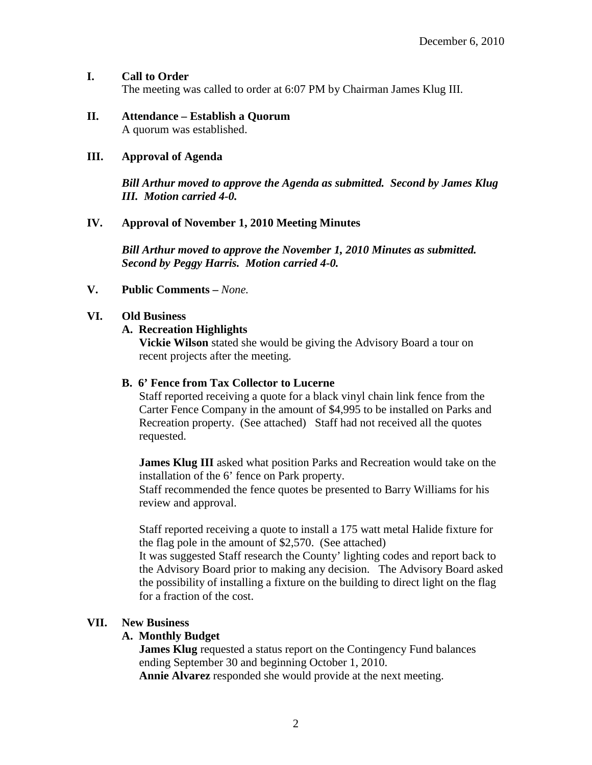#### **I. Call to Order** The meeting was called to order at 6:07 PM by Chairman James Klug III.

#### **II. Attendance – Establish a Quorum** A quorum was established.

#### **III. Approval of Agenda**

*Bill Arthur moved to approve the Agenda as submitted. Second by James Klug III. Motion carried 4-0.*

#### **IV. Approval of November 1, 2010 Meeting Minutes**

*Bill Arthur moved to approve the November 1, 2010 Minutes as submitted. Second by Peggy Harris. Motion carried 4-0.*

#### **V. Public Comments –** *None.*

#### **VI. Old Business**

#### **A. Recreation Highlights**

**Vickie Wilson** stated she would be giving the Advisory Board a tour on recent projects after the meeting.

#### **B. 6' Fence from Tax Collector to Lucerne**

Staff reported receiving a quote for a black vinyl chain link fence from the Carter Fence Company in the amount of \$4,995 to be installed on Parks and Recreation property. (See attached) Staff had not received all the quotes requested.

**James Klug III** asked what position Parks and Recreation would take on the installation of the 6' fence on Park property.

Staff recommended the fence quotes be presented to Barry Williams for his review and approval.

Staff reported receiving a quote to install a 175 watt metal Halide fixture for the flag pole in the amount of \$2,570. (See attached)

It was suggested Staff research the County' lighting codes and report back to the Advisory Board prior to making any decision. The Advisory Board asked the possibility of installing a fixture on the building to direct light on the flag for a fraction of the cost.

#### **VII. New Business**

#### **A. Monthly Budget**

**James Klug** requested a status report on the Contingency Fund balances ending September 30 and beginning October 1, 2010. **Annie Alvarez** responded she would provide at the next meeting.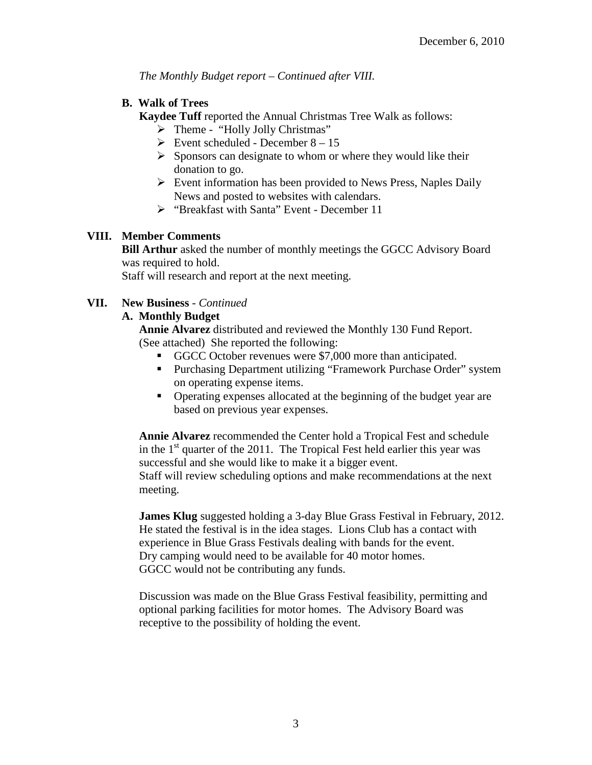*The Monthly Budget report – Continued after VIII.*

### **B. Walk of Trees**

**Kaydee Tuff reported the Annual Christmas Tree Walk as follows:** 

- $\triangleright$  Theme "Holly Jolly Christmas"
- $\triangleright$  Event scheduled December 8 15
- $\triangleright$  Sponsors can designate to whom or where they would like their donation to go.
- $\triangleright$  Event information has been provided to News Press, Naples Daily News and posted to websites with calendars.
- $\triangleright$  "Breakfast with Santa" Event December 11

## **VIII. Member Comments**

**Bill Arthur** asked the number of monthly meetings the GGCC Advisory Board was required to hold.

Staff will research and report at the next meeting.

## **VII. New Business** *- Continued*

## **A. Monthly Budget**

**Annie Alvarez** distributed and reviewed the Monthly 130 Fund Report. (See attached) She reported the following:

- GGCC October revenues were \$7,000 more than anticipated.
- **Purchasing Department utilizing "Framework Purchase Order" system** on operating expense items.
- Operating expenses allocated at the beginning of the budget year are based on previous year expenses.

**Annie Alvarez** recommended the Center hold a Tropical Fest and schedule in the  $1<sup>st</sup>$  quarter of the 2011. The Tropical Fest held earlier this year was successful and she would like to make it a bigger event. Staff will review scheduling options and make recommendations at the next meeting.

**James Klug** suggested holding a 3-day Blue Grass Festival in February, 2012. He stated the festival is in the idea stages. Lions Club has a contact with experience in Blue Grass Festivals dealing with bands for the event. Dry camping would need to be available for 40 motor homes. GGCC would not be contributing any funds.

Discussion was made on the Blue Grass Festival feasibility, permitting and optional parking facilities for motor homes. The Advisory Board was receptive to the possibility of holding the event.